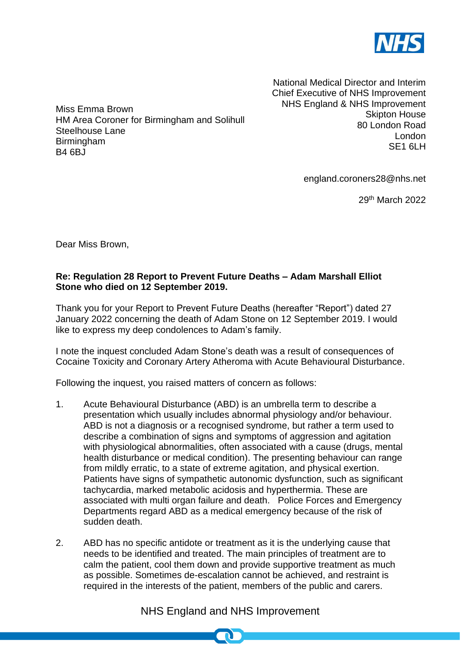

National Medical Director and Interim Chief Executive of NHS Improvement NHS England & NHS Improvement Skipton House 80 London Road London SE<sub>1</sub> 6LH

england.coroners28@nhs.net

29th March 2022

Dear Miss Brown,

Miss Emma Brown

Steelhouse Lane **Birmingham** B4 6BJ

HM Area Coroner for Birmingham and Solihull

## **Re: Regulation 28 Report to Prevent Future Deaths – Adam Marshall Elliot Stone who died on 12 September 2019.**

Thank you for your Report to Prevent Future Deaths (hereafter "Report") dated 27 January 2022 concerning the death of Adam Stone on 12 September 2019. I would like to express my deep condolences to Adam's family.

I note the inquest concluded Adam Stone's death was a result of consequences of Cocaine Toxicity and Coronary Artery Atheroma with Acute Behavioural Disturbance.

Following the inquest, you raised matters of concern as follows:

- 1. Acute Behavioural Disturbance (ABD) is an umbrella term to describe a presentation which usually includes abnormal physiology and/or behaviour. ABD is not a diagnosis or a recognised syndrome, but rather a term used to describe a combination of signs and symptoms of aggression and agitation with physiological abnormalities, often associated with a cause (drugs, mental health disturbance or medical condition). The presenting behaviour can range from mildly erratic, to a state of extreme agitation, and physical exertion. Patients have signs of sympathetic autonomic dysfunction, such as significant tachycardia, marked metabolic acidosis and hyperthermia. These are associated with multi organ failure and death. Police Forces and Emergency Departments regard ABD as a medical emergency because of the risk of sudden death.
- 2. ABD has no specific antidote or treatment as it is the underlying cause that needs to be identified and treated. The main principles of treatment are to calm the patient, cool them down and provide supportive treatment as much as possible. Sometimes de-escalation cannot be achieved, and restraint is required in the interests of the patient, members of the public and carers.

## NHS England and NHS Improvement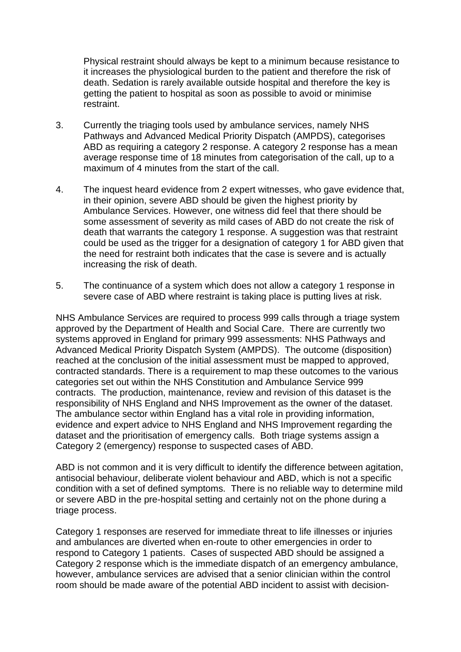Physical restraint should always be kept to a minimum because resistance to it increases the physiological burden to the patient and therefore the risk of death. Sedation is rarely available outside hospital and therefore the key is getting the patient to hospital as soon as possible to avoid or minimise restraint.

- 3. Currently the triaging tools used by ambulance services, namely NHS Pathways and Advanced Medical Priority Dispatch (AMPDS), categorises ABD as requiring a category 2 response. A category 2 response has a mean average response time of 18 minutes from categorisation of the call, up to a maximum of 4 minutes from the start of the call.
- 4. The inquest heard evidence from 2 expert witnesses, who gave evidence that, in their opinion, severe ABD should be given the highest priority by Ambulance Services. However, one witness did feel that there should be some assessment of severity as mild cases of ABD do not create the risk of death that warrants the category 1 response. A suggestion was that restraint could be used as the trigger for a designation of category 1 for ABD given that the need for restraint both indicates that the case is severe and is actually increasing the risk of death.
- 5. The continuance of a system which does not allow a category 1 response in severe case of ABD where restraint is taking place is putting lives at risk.

NHS Ambulance Services are required to process 999 calls through a triage system approved by the Department of Health and Social Care. There are currently two systems approved in England for primary 999 assessments: NHS Pathways and Advanced Medical Priority Dispatch System (AMPDS). The outcome (disposition) reached at the conclusion of the initial assessment must be mapped to approved, contracted standards. There is a requirement to map these outcomes to the various categories set out within the NHS Constitution and Ambulance Service 999 contracts. The production, maintenance, review and revision of this dataset is the responsibility of NHS England and NHS Improvement as the owner of the dataset. The ambulance sector within England has a vital role in providing information, evidence and expert advice to NHS England and NHS Improvement regarding the dataset and the prioritisation of emergency calls. Both triage systems assign a Category 2 (emergency) response to suspected cases of ABD.

ABD is not common and it is very difficult to identify the difference between agitation, antisocial behaviour, deliberate violent behaviour and ABD, which is not a specific condition with a set of defined symptoms. There is no reliable way to determine mild or severe ABD in the pre-hospital setting and certainly not on the phone during a triage process.

Category 1 responses are reserved for immediate threat to life illnesses or injuries and ambulances are diverted when en-route to other emergencies in order to respond to Category 1 patients. Cases of suspected ABD should be assigned a Category 2 response which is the immediate dispatch of an emergency ambulance, however, ambulance services are advised that a senior clinician within the control room should be made aware of the potential ABD incident to assist with decision